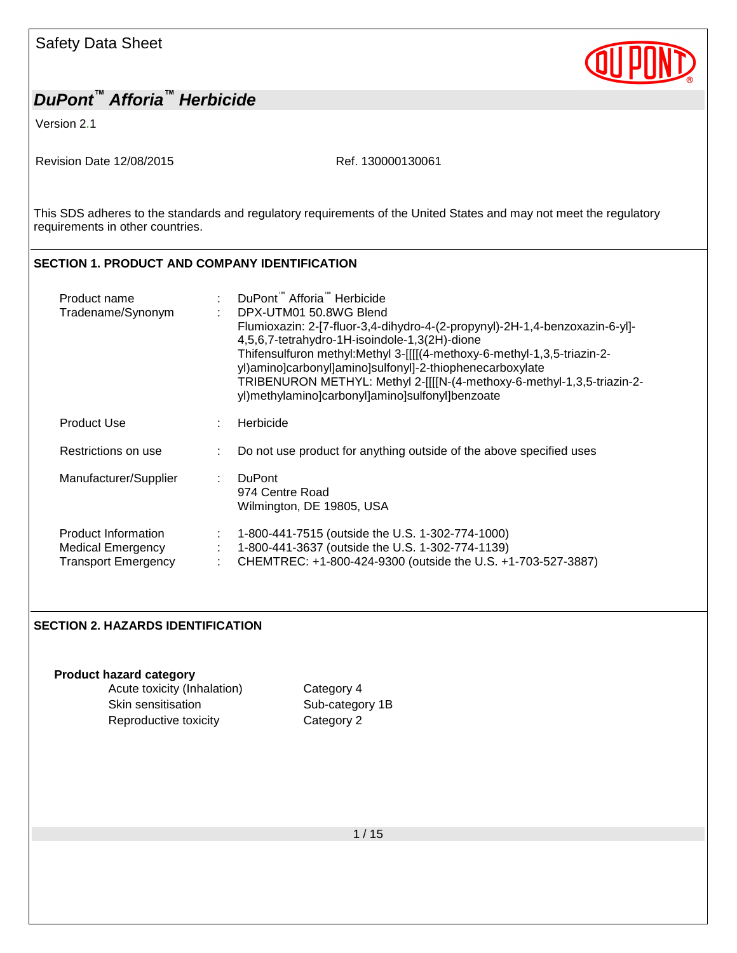Version 2.1

Revision Date 12/08/2015 Ref. 130000130061

This SDS adheres to the standards and regulatory requirements of the United States and may not meet the regulatory requirements in other countries.

#### **SECTION 1. PRODUCT AND COMPANY IDENTIFICATION**

| Product name<br>Tradename/Synonym                                             | DuPont <sup>™</sup> Afforia <sup>™</sup> Herbicide<br>DPX-UTM01 50.8WG Blend<br>Flumioxazin: 2-[7-fluor-3,4-dihydro-4-(2-propynyl)-2H-1,4-benzoxazin-6-yl]-<br>4,5,6,7-tetrahydro-1H-isoindole-1,3(2H)-dione<br>Thifensulfuron methyl:Methyl 3- [[[(4-methoxy-6-methyl-1, 3, 5-triazin-2-<br>yl)amino]carbonyl]amino]sulfonyl]-2-thiophenecarboxylate<br>TRIBENURON METHYL: Methyl 2-[[[[N-(4-methoxy-6-methyl-1,3,5-triazin-2-<br>yl)methylamino]carbonyl]amino]sulfonyl]benzoate |
|-------------------------------------------------------------------------------|------------------------------------------------------------------------------------------------------------------------------------------------------------------------------------------------------------------------------------------------------------------------------------------------------------------------------------------------------------------------------------------------------------------------------------------------------------------------------------|
| <b>Product Use</b>                                                            | Herbicide<br>÷                                                                                                                                                                                                                                                                                                                                                                                                                                                                     |
| Restrictions on use                                                           | Do not use product for anything outside of the above specified uses                                                                                                                                                                                                                                                                                                                                                                                                                |
| Manufacturer/Supplier                                                         | <b>DuPont</b><br>÷<br>974 Centre Road<br>Wilmington, DE 19805, USA                                                                                                                                                                                                                                                                                                                                                                                                                 |
| Product Information<br><b>Medical Emergency</b><br><b>Transport Emergency</b> | 1-800-441-7515 (outside the U.S. 1-302-774-1000)<br>÷<br>1-800-441-3637 (outside the U.S. 1-302-774-1139)<br>CHEMTREC: +1-800-424-9300 (outside the U.S. +1-703-527-3887)<br>÷                                                                                                                                                                                                                                                                                                     |

#### **SECTION 2. HAZARDS IDENTIFICATION**

**Product hazard category**

Acute toxicity (Inhalation) Category 4 Skin sensitisation Sub-category 1B Reproductive toxicity **Category 2**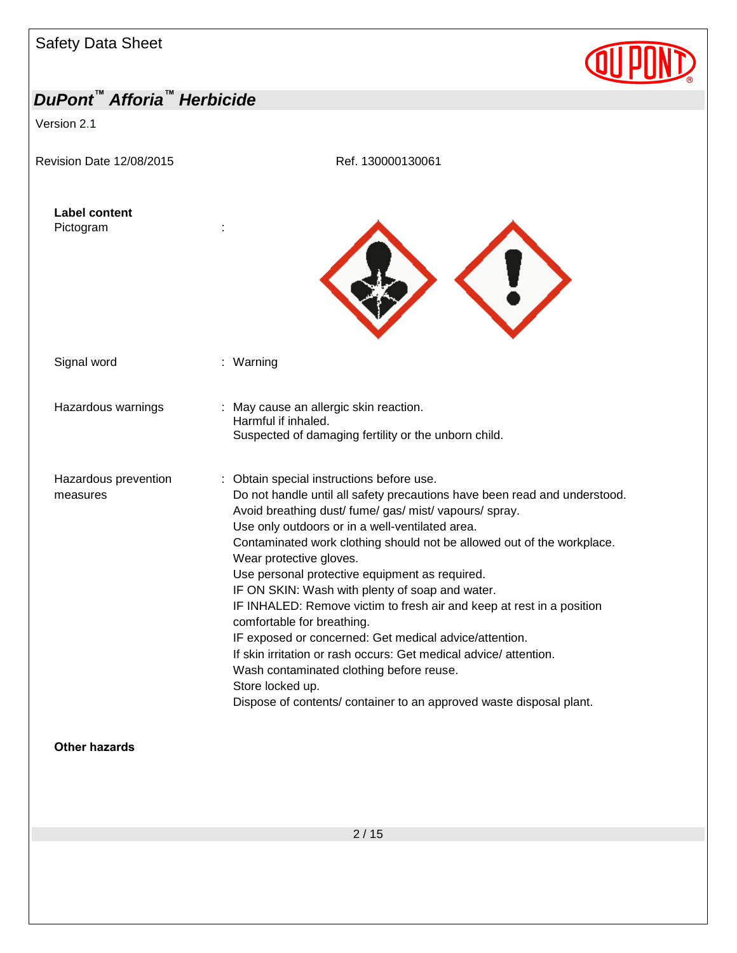Version 2.1

Revision Date 12/08/2015 Ref. 130000130061





Signal word : Warning

Harmful if inhaled.

Hazardous warnings : May cause an allergic skin reaction.

Hazardous prevention

measures

: Obtain special instructions before use. Do not handle until all safety precautions have been read and understood. Avoid breathing dust/ fume/ gas/ mist/ vapours/ spray. Use only outdoors or in a well-ventilated area. Contaminated work clothing should not be allowed out of the workplace. Wear protective gloves. Use personal protective equipment as required. IF ON SKIN: Wash with plenty of soap and water.

Suspected of damaging fertility or the unborn child.

IF INHALED: Remove victim to fresh air and keep at rest in a position comfortable for breathing.

IF exposed or concerned: Get medical advice/attention.

If skin irritation or rash occurs: Get medical advice/ attention.

Wash contaminated clothing before reuse.

Store locked up.

Dispose of contents/ container to an approved waste disposal plant.

**Other hazards**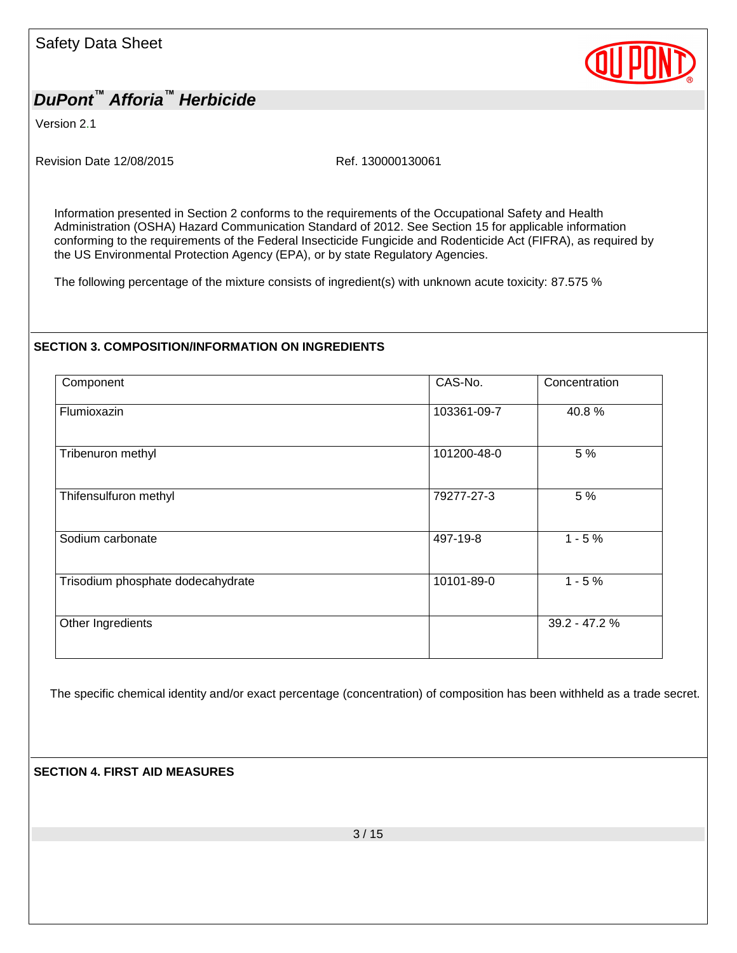

Version 2.1

Revision Date 12/08/2015 Ref. 130000130061

Information presented in Section 2 conforms to the requirements of the Occupational Safety and Health Administration (OSHA) Hazard Communication Standard of 2012. See Section 15 for applicable information conforming to the requirements of the Federal Insecticide Fungicide and Rodenticide Act (FIFRA), as required by the US Environmental Protection Agency (EPA), or by state Regulatory Agencies.

The following percentage of the mixture consists of ingredient(s) with unknown acute toxicity: 87.575 %

#### **SECTION 3. COMPOSITION/INFORMATION ON INGREDIENTS**

| Component                         | CAS-No.     | Concentration |
|-----------------------------------|-------------|---------------|
| Flumioxazin                       | 103361-09-7 | 40.8%         |
| Tribenuron methyl                 | 101200-48-0 | 5 %           |
| Thifensulfuron methyl             | 79277-27-3  | 5 %           |
| Sodium carbonate                  | 497-19-8    | $1 - 5%$      |
| Trisodium phosphate dodecahydrate | 10101-89-0  | $1 - 5%$      |
| Other Ingredients                 |             | 39.2 - 47.2 % |
|                                   |             |               |

The specific chemical identity and/or exact percentage (concentration) of composition has been withheld as a trade secret.

#### **SECTION 4. FIRST AID MEASURES**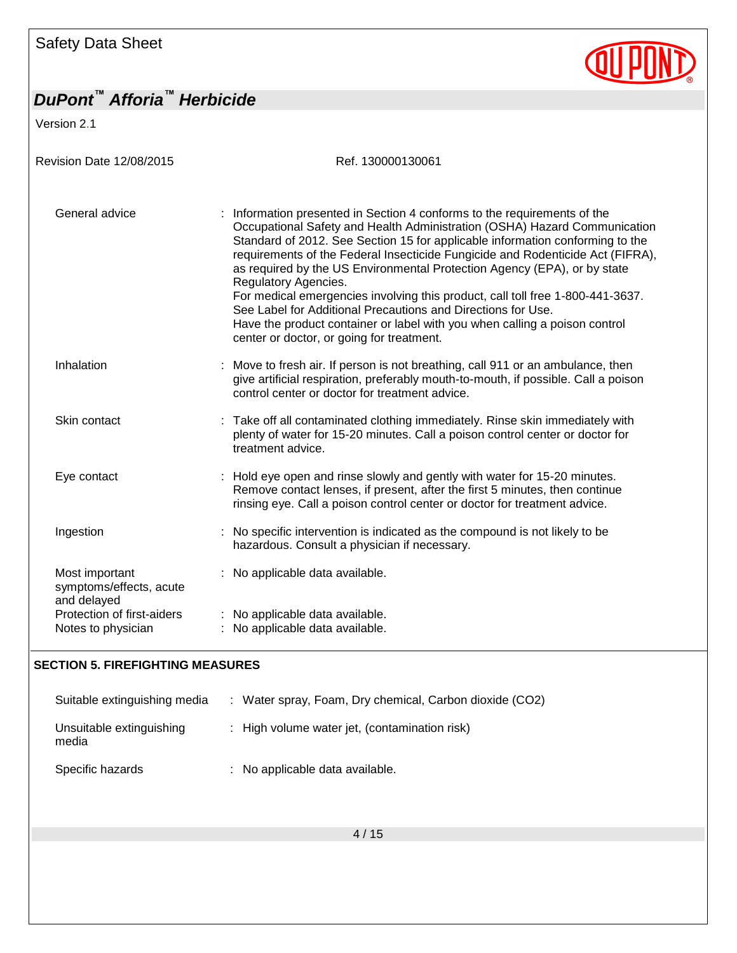Version 2.1



| Revision Date 12/08/2015                                                               | Ref. 130000130061                                                                                                                                                                                                                                                                                                                                                                                                                                                                                                                                                                                                                                                                                         |  |  |  |  |  |
|----------------------------------------------------------------------------------------|-----------------------------------------------------------------------------------------------------------------------------------------------------------------------------------------------------------------------------------------------------------------------------------------------------------------------------------------------------------------------------------------------------------------------------------------------------------------------------------------------------------------------------------------------------------------------------------------------------------------------------------------------------------------------------------------------------------|--|--|--|--|--|
| General advice                                                                         | : Information presented in Section 4 conforms to the requirements of the<br>Occupational Safety and Health Administration (OSHA) Hazard Communication<br>Standard of 2012. See Section 15 for applicable information conforming to the<br>requirements of the Federal Insecticide Fungicide and Rodenticide Act (FIFRA),<br>as required by the US Environmental Protection Agency (EPA), or by state<br>Regulatory Agencies.<br>For medical emergencies involving this product, call toll free 1-800-441-3637.<br>See Label for Additional Precautions and Directions for Use.<br>Have the product container or label with you when calling a poison control<br>center or doctor, or going for treatment. |  |  |  |  |  |
| Inhalation                                                                             | : Move to fresh air. If person is not breathing, call 911 or an ambulance, then<br>give artificial respiration, preferably mouth-to-mouth, if possible. Call a poison<br>control center or doctor for treatment advice.                                                                                                                                                                                                                                                                                                                                                                                                                                                                                   |  |  |  |  |  |
| Skin contact                                                                           | : Take off all contaminated clothing immediately. Rinse skin immediately with<br>plenty of water for 15-20 minutes. Call a poison control center or doctor for<br>treatment advice.                                                                                                                                                                                                                                                                                                                                                                                                                                                                                                                       |  |  |  |  |  |
| Eye contact                                                                            | : Hold eye open and rinse slowly and gently with water for 15-20 minutes.<br>Remove contact lenses, if present, after the first 5 minutes, then continue<br>rinsing eye. Call a poison control center or doctor for treatment advice.                                                                                                                                                                                                                                                                                                                                                                                                                                                                     |  |  |  |  |  |
| Ingestion                                                                              | : No specific intervention is indicated as the compound is not likely to be<br>hazardous. Consult a physician if necessary.                                                                                                                                                                                                                                                                                                                                                                                                                                                                                                                                                                               |  |  |  |  |  |
| Most important<br>symptoms/effects, acute<br>and delayed<br>Protection of first-aiders | : No applicable data available.<br>: No applicable data available.                                                                                                                                                                                                                                                                                                                                                                                                                                                                                                                                                                                                                                        |  |  |  |  |  |
| Notes to physician                                                                     | No applicable data available.                                                                                                                                                                                                                                                                                                                                                                                                                                                                                                                                                                                                                                                                             |  |  |  |  |  |

#### **SECTION 5. FIREFIGHTING MEASURES**

| Suitable extinguishing media      | : Water spray, Foam, Dry chemical, Carbon dioxide (CO2) |
|-----------------------------------|---------------------------------------------------------|
| Unsuitable extinguishing<br>media | : High volume water jet, (contamination risk)           |
| Specific hazards                  | : No applicable data available.                         |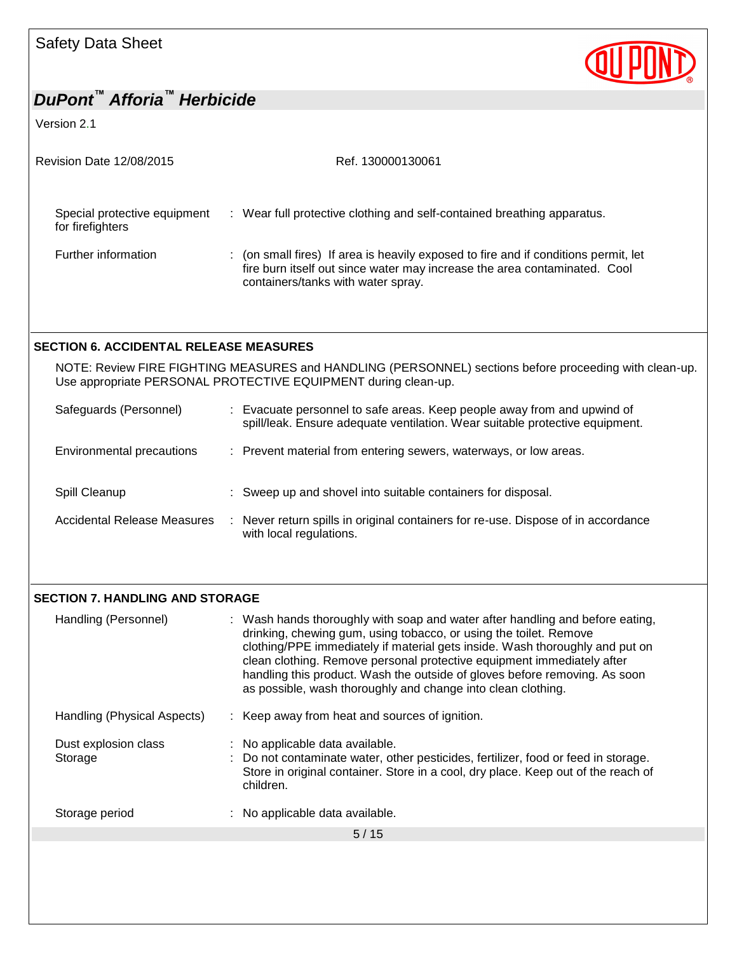Version 2.1

| Revision Date 12/08/2015                         | Ref. 130000130061                                                                                                                                                                                      |
|--------------------------------------------------|--------------------------------------------------------------------------------------------------------------------------------------------------------------------------------------------------------|
| Special protective equipment<br>for firefighters | : Wear full protective clothing and self-contained breathing apparatus.                                                                                                                                |
| Further information                              | : (on small fires) If area is heavily exposed to fire and if conditions permit, let<br>fire burn itself out since water may increase the area contaminated. Cool<br>containers/tanks with water spray. |
| <b>SECTION 6. ACCIDENTAL RELEASE MEASURES</b>    |                                                                                                                                                                                                        |
|                                                  | NOTE: Review FIRE FIGHTING MEASURES and HANDLING (PERSONNEL) sections before proceeding with clean-up.<br>Use appropriate PERSONAL PROTECTIVE EQUIPMENT during clean-up.                               |
| Safeguards (Personnel)                           | : Evacuate personnel to safe areas. Keep people away from and upwind of<br>spill/leak. Ensure adequate ventilation. Wear suitable protective equipment.                                                |
| Environmental precautions                        | : Prevent material from entering sewers, waterways, or low areas.                                                                                                                                      |
| Spill Cleanup                                    | Sweep up and shovel into suitable containers for disposal.                                                                                                                                             |

| <b>Accidental Release Measures</b> | Never return spills in original containers for re-use. Dispose of in accordance |
|------------------------------------|---------------------------------------------------------------------------------|
|                                    | with local regulations.                                                         |

### **SECTION 7. HANDLING AND STORAGE**

| Handling (Personnel)            | : Wash hands thoroughly with soap and water after handling and before eating,<br>drinking, chewing gum, using tobacco, or using the toilet. Remove<br>clothing/PPE immediately if material gets inside. Wash thoroughly and put on<br>clean clothing. Remove personal protective equipment immediately after<br>handling this product. Wash the outside of gloves before removing. As soon<br>as possible, wash thoroughly and change into clean clothing. |
|---------------------------------|------------------------------------------------------------------------------------------------------------------------------------------------------------------------------------------------------------------------------------------------------------------------------------------------------------------------------------------------------------------------------------------------------------------------------------------------------------|
| Handling (Physical Aspects)     | : Keep away from heat and sources of ignition.                                                                                                                                                                                                                                                                                                                                                                                                             |
| Dust explosion class<br>Storage | : No applicable data available.<br>: Do not contaminate water, other pesticides, fertilizer, food or feed in storage.<br>Store in original container. Store in a cool, dry place. Keep out of the reach of<br>children.                                                                                                                                                                                                                                    |
| Storage period                  | : No applicable data available.                                                                                                                                                                                                                                                                                                                                                                                                                            |
|                                 | 5/15                                                                                                                                                                                                                                                                                                                                                                                                                                                       |

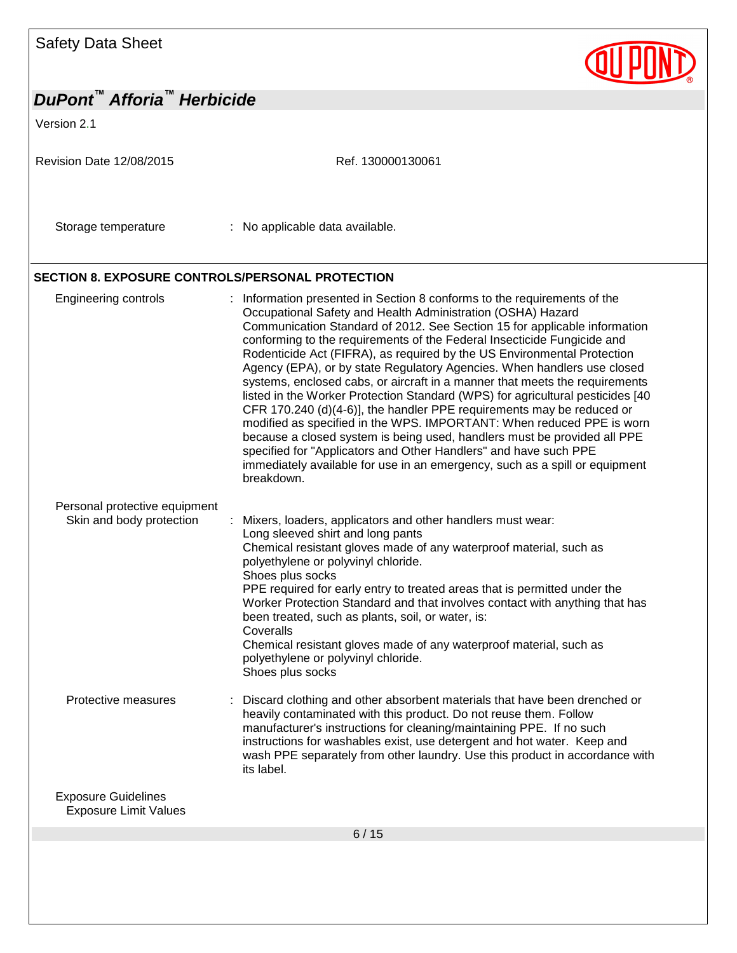Version 2.1



#### **SECTION 8. EXPOSURE CONTROLS/PERSONAL PROTECTION**

| <b>Engineering controls</b>                                | Information presented in Section 8 conforms to the requirements of the<br>Occupational Safety and Health Administration (OSHA) Hazard<br>Communication Standard of 2012. See Section 15 for applicable information<br>conforming to the requirements of the Federal Insecticide Fungicide and<br>Rodenticide Act (FIFRA), as required by the US Environmental Protection<br>Agency (EPA), or by state Regulatory Agencies. When handlers use closed<br>systems, enclosed cabs, or aircraft in a manner that meets the requirements<br>listed in the Worker Protection Standard (WPS) for agricultural pesticides [40<br>CFR 170.240 (d)(4-6)], the handler PPE requirements may be reduced or<br>modified as specified in the WPS. IMPORTANT: When reduced PPE is worn<br>because a closed system is being used, handlers must be provided all PPE<br>specified for "Applicators and Other Handlers" and have such PPE<br>immediately available for use in an emergency, such as a spill or equipment<br>breakdown. |
|------------------------------------------------------------|---------------------------------------------------------------------------------------------------------------------------------------------------------------------------------------------------------------------------------------------------------------------------------------------------------------------------------------------------------------------------------------------------------------------------------------------------------------------------------------------------------------------------------------------------------------------------------------------------------------------------------------------------------------------------------------------------------------------------------------------------------------------------------------------------------------------------------------------------------------------------------------------------------------------------------------------------------------------------------------------------------------------|
| Personal protective equipment<br>Skin and body protection  | Mixers, loaders, applicators and other handlers must wear:<br>Long sleeved shirt and long pants<br>Chemical resistant gloves made of any waterproof material, such as<br>polyethylene or polyvinyl chloride.<br>Shoes plus socks<br>PPE required for early entry to treated areas that is permitted under the<br>Worker Protection Standard and that involves contact with anything that has<br>been treated, such as plants, soil, or water, is:<br>Coveralls<br>Chemical resistant gloves made of any waterproof material, such as<br>polyethylene or polyvinyl chloride.<br>Shoes plus socks                                                                                                                                                                                                                                                                                                                                                                                                                     |
| Protective measures                                        | Discard clothing and other absorbent materials that have been drenched or<br>heavily contaminated with this product. Do not reuse them. Follow<br>manufacturer's instructions for cleaning/maintaining PPE. If no such<br>instructions for washables exist, use detergent and hot water. Keep and<br>wash PPE separately from other laundry. Use this product in accordance with<br>its label.                                                                                                                                                                                                                                                                                                                                                                                                                                                                                                                                                                                                                      |
| <b>Exposure Guidelines</b><br><b>Exposure Limit Values</b> |                                                                                                                                                                                                                                                                                                                                                                                                                                                                                                                                                                                                                                                                                                                                                                                                                                                                                                                                                                                                                     |
|                                                            | 6/15                                                                                                                                                                                                                                                                                                                                                                                                                                                                                                                                                                                                                                                                                                                                                                                                                                                                                                                                                                                                                |
|                                                            |                                                                                                                                                                                                                                                                                                                                                                                                                                                                                                                                                                                                                                                                                                                                                                                                                                                                                                                                                                                                                     |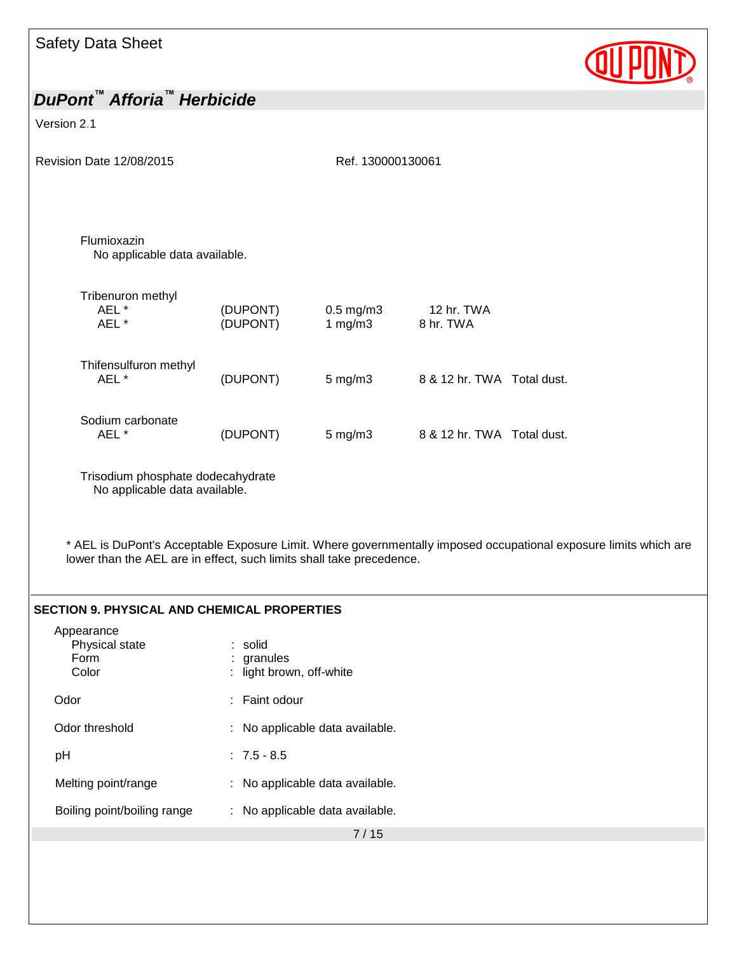

## *DuPont™ Afforia™ Herbicide* Version 2.1 Revision Date 12/08/2015 Ref. 130000130061 7 / 15 Flumioxazin No applicable data available. Tribenuron methyl AEL \* (DUPONT) 0.5 mg/m3 12 hr. TWA AEL \* (DUPONT) 1 mg/m3 8 hr. TWA Thifensulfuron methyl<br>AEL \*  $(DUPONT)$  5 mg/m3 8 & 12 hr. TWA Total dust. Sodium carbonate AEL \* (DUPONT) 5 mg/m3 8 & 12 hr. TWA Total dust. Trisodium phosphate dodecahydrate No applicable data available. \* AEL is DuPont's Acceptable Exposure Limit. Where governmentally imposed occupational exposure limits which are lower than the AEL are in effect, such limits shall take precedence. **SECTION 9. PHYSICAL AND CHEMICAL PROPERTIES** Appearance Physical state : solid Form : granules Color : light brown, off-white Odor : Faint odour Odor threshold : No applicable data available. pH : 7.5 - 8.5 Melting point/range : No applicable data available. Boiling point/boiling range : No applicable data available.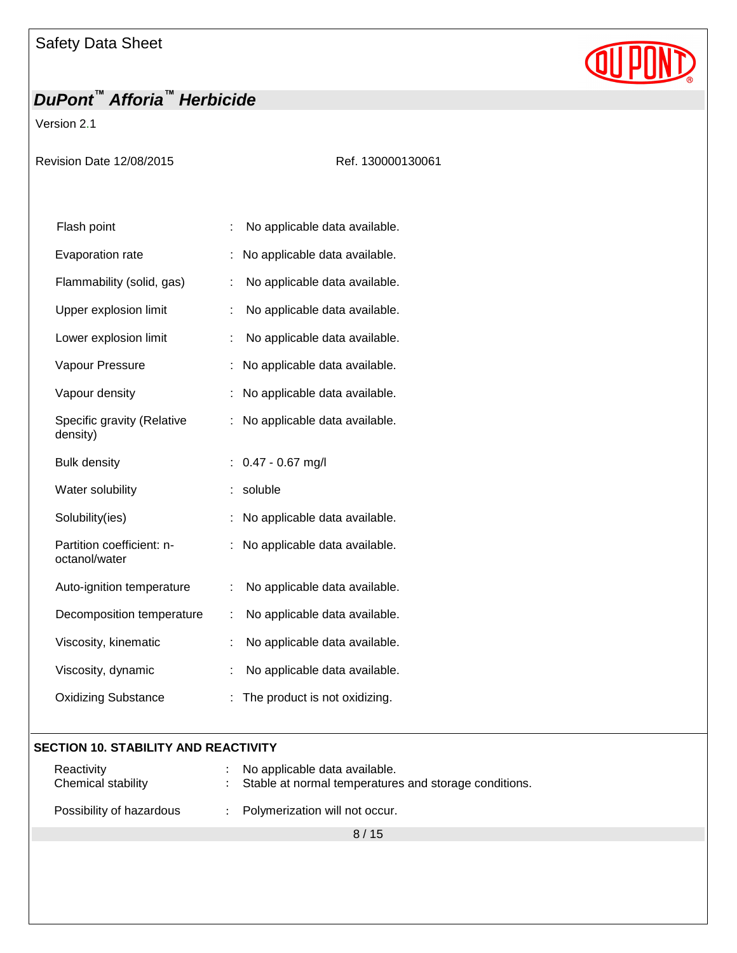Version 2.1

Revision Date 12/08/2015 Ref. 130000130061

| Flash point                                |    | No applicable data available. |
|--------------------------------------------|----|-------------------------------|
| Evaporation rate                           |    | No applicable data available. |
| Flammability (solid, gas)                  | ÷  | No applicable data available. |
| Upper explosion limit                      | t  | No applicable data available. |
| Lower explosion limit                      | ÷  | No applicable data available. |
| Vapour Pressure                            | t  | No applicable data available. |
| Vapour density                             | Ì. | No applicable data available. |
| Specific gravity (Relative<br>density)     | t  | No applicable data available. |
| <b>Bulk density</b>                        | ÷  | $0.47 - 0.67$ mg/l            |
| Water solubility                           |    | soluble                       |
| Solubility(ies)                            | t  | No applicable data available. |
| Partition coefficient: n-<br>octanol/water | t  | No applicable data available. |
| Auto-ignition temperature                  | ÷  | No applicable data available. |
| Decomposition temperature                  | ÷  | No applicable data available. |
| Viscosity, kinematic                       | İ. | No applicable data available. |
| Viscosity, dynamic                         | t  | No applicable data available. |
| <b>Oxidizing Substance</b>                 |    | The product is not oxidizing. |

#### **SECTION 10. STABILITY AND REACTIVITY**

| Reactivity<br>Chemical stability | : No applicable data available.<br>: Stable at normal temperatures and storage conditions. |
|----------------------------------|--------------------------------------------------------------------------------------------|
| Possibility of hazardous         | : Polymerization will not occur.                                                           |

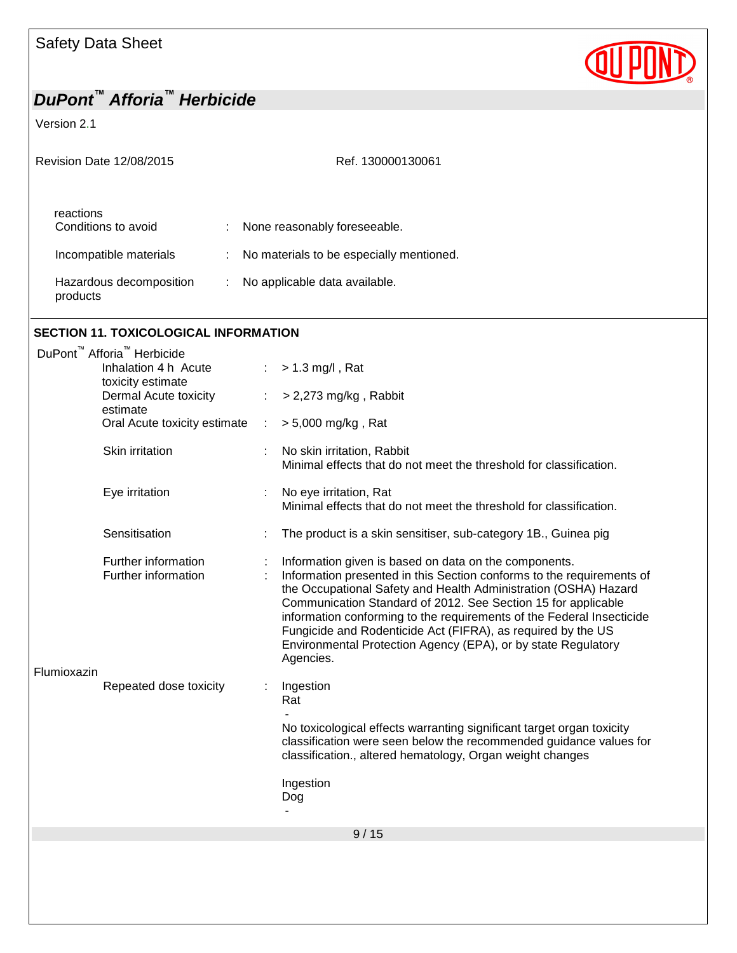Version 2.1

| <b>Revision Date 12/08/2015</b>     | Ref. 130000130061                        |
|-------------------------------------|------------------------------------------|
| reactions<br>Conditions to avoid    | None reasonably foreseeable.             |
| Incompatible materials              | No materials to be especially mentioned. |
| Hazardous decomposition<br>products | No applicable data available.            |

QUP

#### **SECTION 11. TOXICOLOGICAL INFORMATION**

| DuPont <sup>™</sup> Afforia <sup>™</sup> Herbicide |                                            |   |                                                                                                                                                                                                                                                                                                                                                                                                                                                                                           |
|----------------------------------------------------|--------------------------------------------|---|-------------------------------------------------------------------------------------------------------------------------------------------------------------------------------------------------------------------------------------------------------------------------------------------------------------------------------------------------------------------------------------------------------------------------------------------------------------------------------------------|
| Inhalation 4 h Acute<br>toxicity estimate          |                                            |   | $> 1.3$ mg/l, Rat                                                                                                                                                                                                                                                                                                                                                                                                                                                                         |
|                                                    | Dermal Acute toxicity<br>estimate          | ÷ | $>$ 2,273 mg/kg, Rabbit                                                                                                                                                                                                                                                                                                                                                                                                                                                                   |
|                                                    | Oral Acute toxicity estimate               | ÷ | > 5,000 mg/kg, Rat                                                                                                                                                                                                                                                                                                                                                                                                                                                                        |
|                                                    | Skin irritation                            |   | No skin irritation, Rabbit<br>Minimal effects that do not meet the threshold for classification.                                                                                                                                                                                                                                                                                                                                                                                          |
|                                                    | Eye irritation                             |   | No eye irritation, Rat<br>Minimal effects that do not meet the threshold for classification.                                                                                                                                                                                                                                                                                                                                                                                              |
|                                                    | Sensitisation                              |   | The product is a skin sensitiser, sub-category 1B., Guinea pig                                                                                                                                                                                                                                                                                                                                                                                                                            |
| Flumioxazin                                        | Further information<br>Further information |   | Information given is based on data on the components.<br>Information presented in this Section conforms to the requirements of<br>the Occupational Safety and Health Administration (OSHA) Hazard<br>Communication Standard of 2012. See Section 15 for applicable<br>information conforming to the requirements of the Federal Insecticide<br>Fungicide and Rodenticide Act (FIFRA), as required by the US<br>Environmental Protection Agency (EPA), or by state Regulatory<br>Agencies. |
|                                                    | Repeated dose toxicity                     |   | Ingestion<br>Rat                                                                                                                                                                                                                                                                                                                                                                                                                                                                          |
|                                                    |                                            |   | No toxicological effects warranting significant target organ toxicity<br>classification were seen below the recommended guidance values for<br>classification., altered hematology, Organ weight changes                                                                                                                                                                                                                                                                                  |
|                                                    |                                            |   | Ingestion<br>Dog                                                                                                                                                                                                                                                                                                                                                                                                                                                                          |
|                                                    |                                            |   | 9/15                                                                                                                                                                                                                                                                                                                                                                                                                                                                                      |
|                                                    |                                            |   |                                                                                                                                                                                                                                                                                                                                                                                                                                                                                           |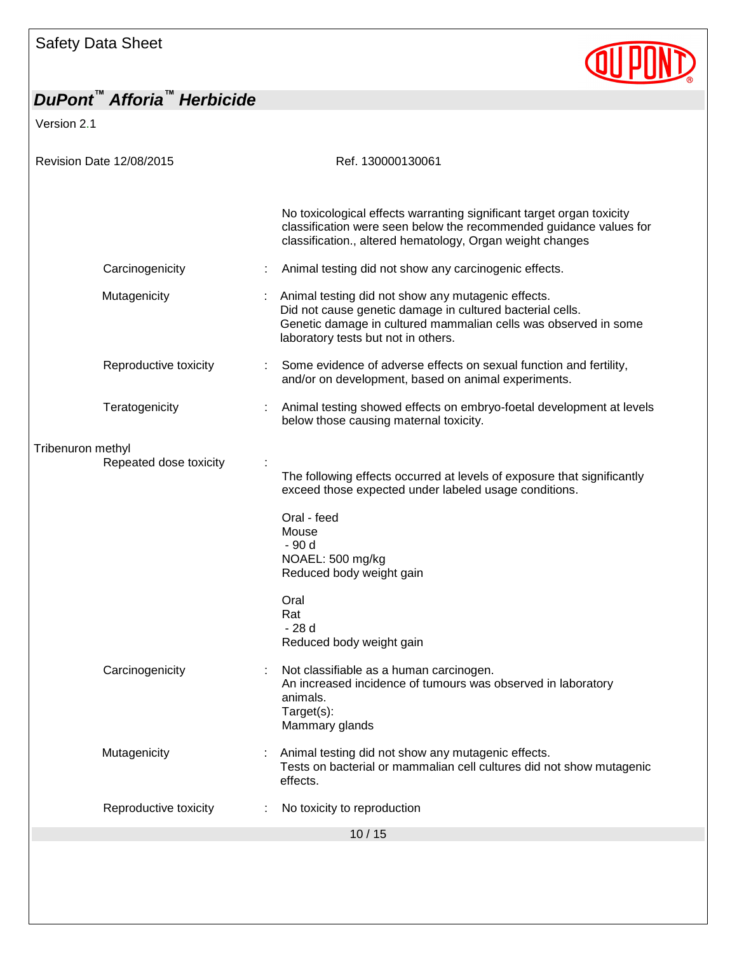Version 2.1

| Revision Date 12/08/2015 |                                             |  | Ref. 130000130061                                                                                                                                                                                                         |  |
|--------------------------|---------------------------------------------|--|---------------------------------------------------------------------------------------------------------------------------------------------------------------------------------------------------------------------------|--|
|                          |                                             |  | No toxicological effects warranting significant target organ toxicity<br>classification were seen below the recommended guidance values for<br>classification., altered hematology, Organ weight changes                  |  |
|                          | Carcinogenicity                             |  | Animal testing did not show any carcinogenic effects.                                                                                                                                                                     |  |
|                          | Mutagenicity                                |  | Animal testing did not show any mutagenic effects.<br>Did not cause genetic damage in cultured bacterial cells.<br>Genetic damage in cultured mammalian cells was observed in some<br>laboratory tests but not in others. |  |
|                          | Reproductive toxicity                       |  | Some evidence of adverse effects on sexual function and fertility,<br>and/or on development, based on animal experiments.                                                                                                 |  |
|                          | Teratogenicity                              |  | Animal testing showed effects on embryo-foetal development at levels<br>below those causing maternal toxicity.                                                                                                            |  |
|                          | Tribenuron methyl<br>Repeated dose toxicity |  | The following effects occurred at levels of exposure that significantly<br>exceed those expected under labeled usage conditions.                                                                                          |  |
|                          |                                             |  | Oral - feed<br>Mouse<br>- 90 d<br>NOAEL: 500 mg/kg<br>Reduced body weight gain                                                                                                                                            |  |
|                          |                                             |  | Oral<br>Rat<br>- 28 d<br>Reduced body weight gain                                                                                                                                                                         |  |
|                          | Carcinogenicity                             |  | Not classifiable as a human carcinogen.<br>An increased incidence of tumours was observed in laboratory<br>animals.<br>Target(s):<br>Mammary glands                                                                       |  |
|                          | Mutagenicity                                |  | Animal testing did not show any mutagenic effects.<br>Tests on bacterial or mammalian cell cultures did not show mutagenic<br>effects.                                                                                    |  |
|                          | Reproductive toxicity                       |  | No toxicity to reproduction                                                                                                                                                                                               |  |
|                          |                                             |  | 10/15                                                                                                                                                                                                                     |  |
|                          |                                             |  |                                                                                                                                                                                                                           |  |

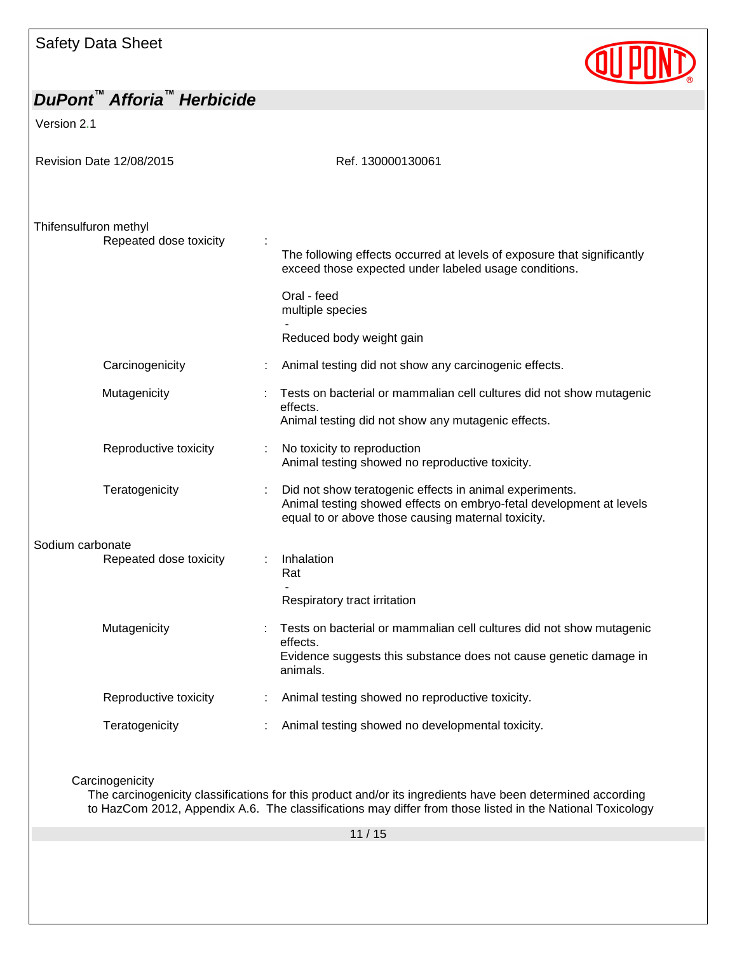## *DuPont™ Afforia™ Herbicide* Version 2.1 Revision Date 12/08/2015 Ref. 130000130061 Thifensulfuron methyl Repeated dose toxicity : The following effects occurred at levels of exposure that significantly exceed those expected under labeled usage conditions. Oral - feed multiple species - Reduced body weight gain Carcinogenicity **Exercise :** Animal testing did not show any carcinogenic effects. Mutagenicity : Tests on bacterial or mammalian cell cultures did not show mutagenic effects. Animal testing did not show any mutagenic effects. Reproductive toxicity : No toxicity to reproduction Animal testing showed no reproductive toxicity. Teratogenicity : Did not show teratogenic effects in animal experiments.

#### Animal testing showed effects on embryo-fetal development at levels equal to or above those causing maternal toxicity. Sodium carbonate Repeated dose toxicity : Inhalation Rat -

Respiratory tract irritation

| Mutagenicity          | Tests on bacterial or mammalian cell cultures did not show mutagenic<br>effects.<br>Evidence suggests this substance does not cause genetic damage in<br>animals. |
|-----------------------|-------------------------------------------------------------------------------------------------------------------------------------------------------------------|
| Reproductive toxicity | Animal testing showed no reproductive toxicity.                                                                                                                   |
| Teratogenicity        | Animal testing showed no developmental toxicity.                                                                                                                  |

#### **Carcinogenicity**

The carcinogenicity classifications for this product and/or its ingredients have been determined according to HazCom 2012, Appendix A.6. The classifications may differ from those listed in the National Toxicology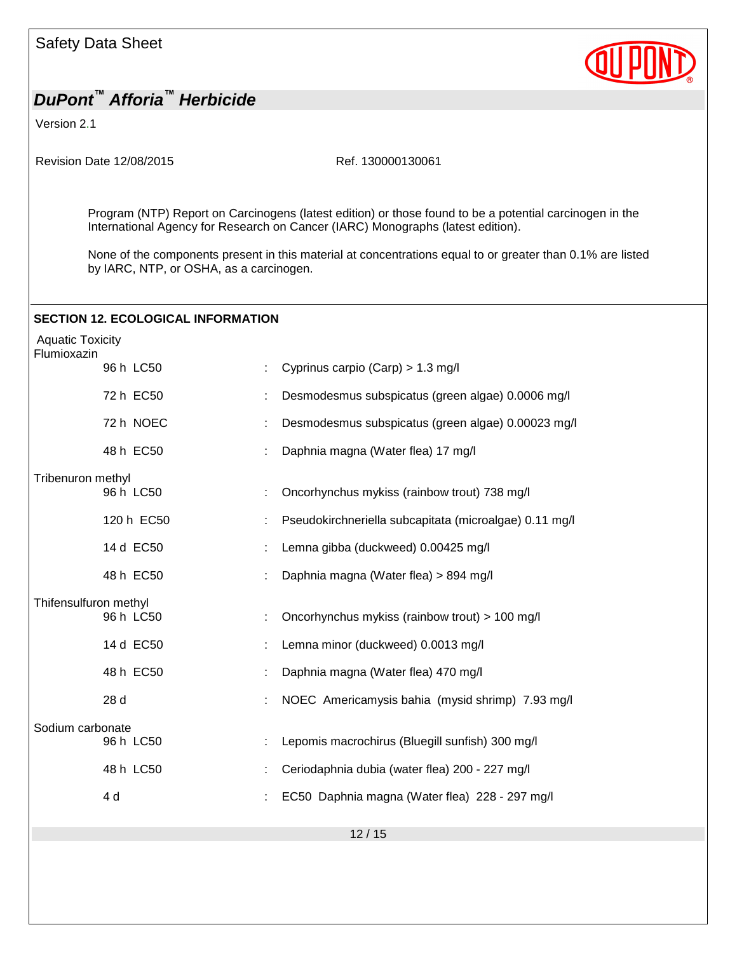Version 2.1

Revision Date 12/08/2015 Ref. 130000130061

Program (NTP) Report on Carcinogens (latest edition) or those found to be a potential carcinogen in the International Agency for Research on Cancer (IARC) Monographs (latest edition).

None of the components present in this material at concentrations equal to or greater than 0.1% are listed by IARC, NTP, or OSHA, as a carcinogen.

## **SECTION 12. ECOLOGICAL INFORMATION** Aquatic Toxicity Flumioxazin 96 h LC50 : Cyprinus carpio (Carp) > 1.3 mg/l 72 h EC50 : Desmodesmus subspicatus (green algae) 0.0006 mg/l 72 h NOEC : Desmodesmus subspicatus (green algae) 0.00023 mg/l 48 h EC50 : Daphnia magna (Water flea) 17 mg/l Tribenuron methyl 96 h LC50 : Oncorhynchus mykiss (rainbow trout) 738 mg/l 120 h EC50 : Pseudokirchneriella subcapitata (microalgae) 0.11 mg/l 14 d EC50 : Lemna gibba (duckweed) 0.00425 mg/l 48 h EC50 : Daphnia magna (Water flea) > 894 mg/l Thifensulfuron methyl 96 h LC50 : Oncorhynchus mykiss (rainbow trout) > 100 mg/l 14 d EC50 : Lemna minor (duckweed) 0.0013 mg/l 48 h EC50 : Daphnia magna (Water flea) 470 mg/l 28 d : NOEC Americamysis bahia (mysid shrimp) 7.93 mg/l Sodium carbonate 96 h LC50 : Lepomis macrochirus (Bluegill sunfish) 300 mg/l 48 h LC50 : Ceriodaphnia dubia (water flea) 200 - 227 mg/l 4 d : EC50 Daphnia magna (Water flea) 228 - 297 mg/l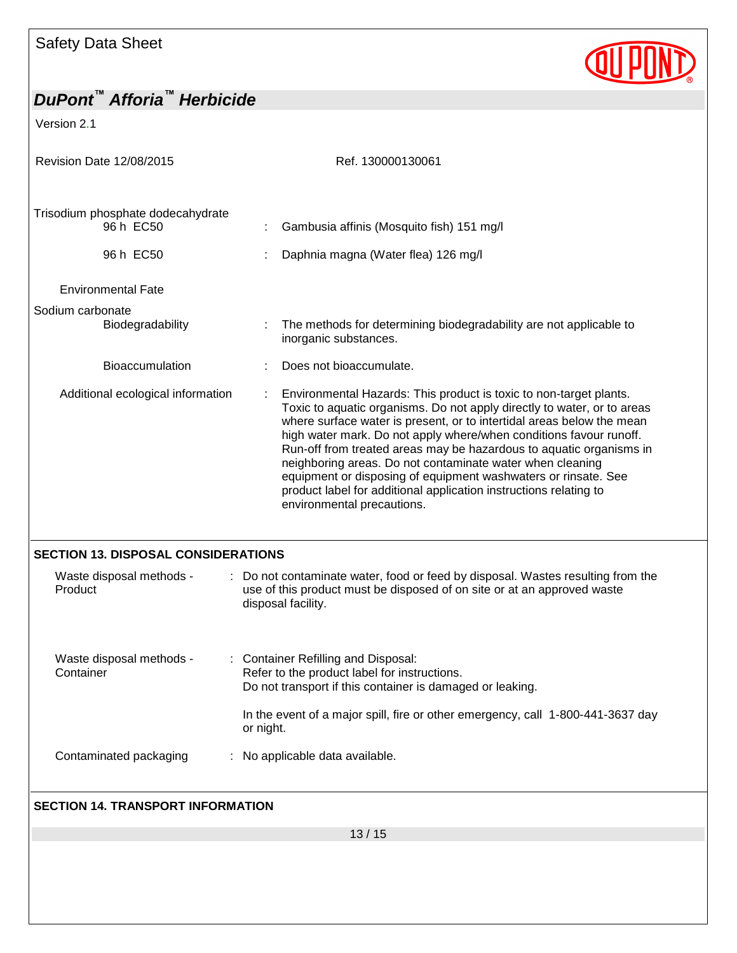# QUPOND

| DuPont <sup>™</sup> Afforia <sup>™</sup> Herbicide                                |                                                                                                                                                                                                                                                                                                                                                                                                                                                                                                                                                                                                       |  |  |
|-----------------------------------------------------------------------------------|-------------------------------------------------------------------------------------------------------------------------------------------------------------------------------------------------------------------------------------------------------------------------------------------------------------------------------------------------------------------------------------------------------------------------------------------------------------------------------------------------------------------------------------------------------------------------------------------------------|--|--|
| Version 2.1                                                                       |                                                                                                                                                                                                                                                                                                                                                                                                                                                                                                                                                                                                       |  |  |
| Revision Date 12/08/2015                                                          | Ref. 130000130061                                                                                                                                                                                                                                                                                                                                                                                                                                                                                                                                                                                     |  |  |
| Trisodium phosphate dodecahydrate<br>96 h EC50                                    | Gambusia affinis (Mosquito fish) 151 mg/l                                                                                                                                                                                                                                                                                                                                                                                                                                                                                                                                                             |  |  |
| 96 h EC50                                                                         | Daphnia magna (Water flea) 126 mg/l                                                                                                                                                                                                                                                                                                                                                                                                                                                                                                                                                                   |  |  |
| <b>Environmental Fate</b>                                                         |                                                                                                                                                                                                                                                                                                                                                                                                                                                                                                                                                                                                       |  |  |
| Sodium carbonate<br>Biodegradability                                              | The methods for determining biodegradability are not applicable to<br>inorganic substances.                                                                                                                                                                                                                                                                                                                                                                                                                                                                                                           |  |  |
| <b>Bioaccumulation</b>                                                            | Does not bioaccumulate.                                                                                                                                                                                                                                                                                                                                                                                                                                                                                                                                                                               |  |  |
| Additional ecological information                                                 | Environmental Hazards: This product is toxic to non-target plants.<br>Toxic to aquatic organisms. Do not apply directly to water, or to areas<br>where surface water is present, or to intertidal areas below the mean<br>high water mark. Do not apply where/when conditions favour runoff.<br>Run-off from treated areas may be hazardous to aquatic organisms in<br>neighboring areas. Do not contaminate water when cleaning<br>equipment or disposing of equipment washwaters or rinsate. See<br>product label for additional application instructions relating to<br>environmental precautions. |  |  |
| <b>SECTION 13. DISPOSAL CONSIDERATIONS</b><br>Waste disposal methods -<br>Product | : Do not contaminate water, food or feed by disposal. Wastes resulting from the<br>use of this product must be disposed of on site or at an approved waste<br>disposal facility.                                                                                                                                                                                                                                                                                                                                                                                                                      |  |  |
| Waste disposal methods -<br>Container                                             | : Container Refilling and Disposal:<br>Refer to the product label for instructions.<br>Do not transport if this container is damaged or leaking.<br>In the event of a major spill, fire or other emergency, call 1-800-441-3637 day<br>or night.                                                                                                                                                                                                                                                                                                                                                      |  |  |
| Contaminated packaging                                                            | : No applicable data available.                                                                                                                                                                                                                                                                                                                                                                                                                                                                                                                                                                       |  |  |
| <b>SECTION 14. TRANSPORT INFORMATION</b>                                          |                                                                                                                                                                                                                                                                                                                                                                                                                                                                                                                                                                                                       |  |  |
|                                                                                   |                                                                                                                                                                                                                                                                                                                                                                                                                                                                                                                                                                                                       |  |  |
|                                                                                   | 13/15                                                                                                                                                                                                                                                                                                                                                                                                                                                                                                                                                                                                 |  |  |
|                                                                                   |                                                                                                                                                                                                                                                                                                                                                                                                                                                                                                                                                                                                       |  |  |
|                                                                                   |                                                                                                                                                                                                                                                                                                                                                                                                                                                                                                                                                                                                       |  |  |
|                                                                                   |                                                                                                                                                                                                                                                                                                                                                                                                                                                                                                                                                                                                       |  |  |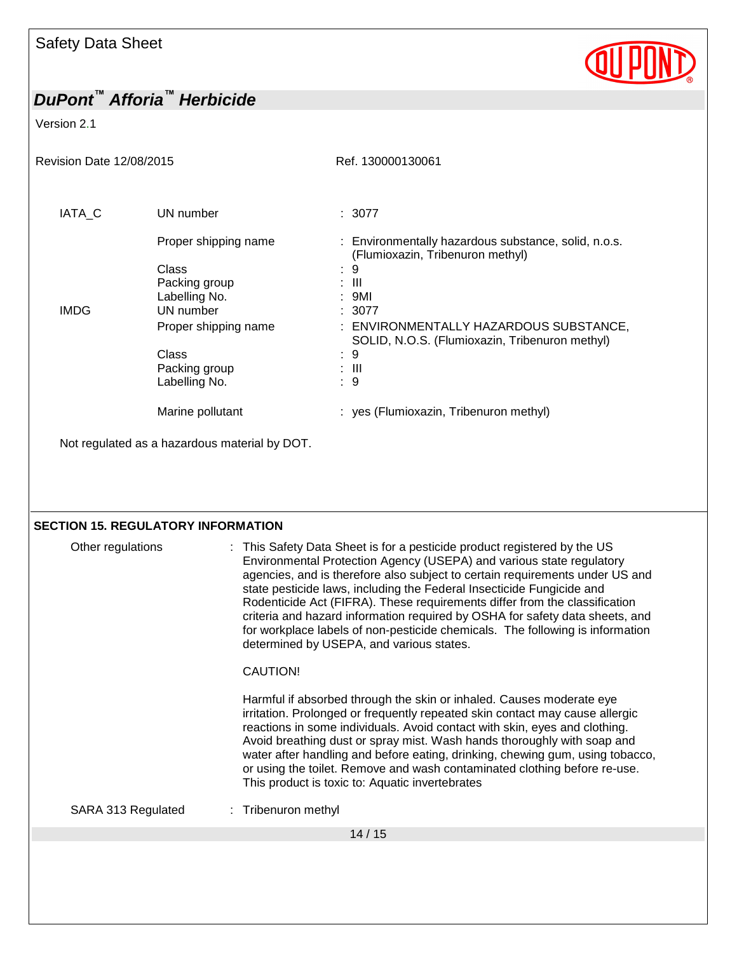Version 2.1

| Revision Date 12/08/2015 |                                                                                                                                                 | Ref. 130000130061                                                                                                                                                                                                                                    |  |  |
|--------------------------|-------------------------------------------------------------------------------------------------------------------------------------------------|------------------------------------------------------------------------------------------------------------------------------------------------------------------------------------------------------------------------------------------------------|--|--|
| IATA_C                   | UN number                                                                                                                                       | : 3077                                                                                                                                                                                                                                               |  |  |
| <b>IMDG</b>              | Proper shipping name<br>Class<br>Packing group<br>Labelling No.<br>UN number<br>Proper shipping name<br>Class<br>Packing group<br>Labelling No. | : Environmentally hazardous substance, solid, n.o.s.<br>(Flumioxazin, Tribenuron methyl)<br>9<br>$\pm$ 111<br>: 9MI<br>: 3077<br>: ENVIRONMENTALLY HAZARDOUS SUBSTANCE,<br>SOLID, N.O.S. (Flumioxazin, Tribenuron methyl)<br>: 9<br>$\pm$ 111<br>: 9 |  |  |
|                          | Marine pollutant                                                                                                                                | : yes (Flumioxazin, Tribenuron methyl)                                                                                                                                                                                                               |  |  |
|                          | Not regulated as a hazardous material by DOT.                                                                                                   |                                                                                                                                                                                                                                                      |  |  |
|                          |                                                                                                                                                 |                                                                                                                                                                                                                                                      |  |  |

QUPOND

### **SECTION 15. REGULATORY INFORMATION**

| Other regulations  | : This Safety Data Sheet is for a pesticide product registered by the US<br>Environmental Protection Agency (USEPA) and various state regulatory<br>agencies, and is therefore also subject to certain requirements under US and<br>state pesticide laws, including the Federal Insecticide Fungicide and<br>Rodenticide Act (FIFRA). These requirements differ from the classification<br>criteria and hazard information required by OSHA for safety data sheets, and<br>for workplace labels of non-pesticide chemicals. The following is information<br>determined by USEPA, and various states.<br>CAUTION!<br>Harmful if absorbed through the skin or inhaled. Causes moderate eye<br>irritation. Prolonged or frequently repeated skin contact may cause allergic<br>reactions in some individuals. Avoid contact with skin, eyes and clothing.<br>Avoid breathing dust or spray mist. Wash hands thoroughly with soap and<br>water after handling and before eating, drinking, chewing gum, using tobacco,<br>or using the toilet. Remove and wash contaminated clothing before re-use.<br>This product is toxic to: Aquatic invertebrates |
|--------------------|----------------------------------------------------------------------------------------------------------------------------------------------------------------------------------------------------------------------------------------------------------------------------------------------------------------------------------------------------------------------------------------------------------------------------------------------------------------------------------------------------------------------------------------------------------------------------------------------------------------------------------------------------------------------------------------------------------------------------------------------------------------------------------------------------------------------------------------------------------------------------------------------------------------------------------------------------------------------------------------------------------------------------------------------------------------------------------------------------------------------------------------------------|
| SARA 313 Regulated | : Tribenuron methyl                                                                                                                                                                                                                                                                                                                                                                                                                                                                                                                                                                                                                                                                                                                                                                                                                                                                                                                                                                                                                                                                                                                                |
|                    | 14/15                                                                                                                                                                                                                                                                                                                                                                                                                                                                                                                                                                                                                                                                                                                                                                                                                                                                                                                                                                                                                                                                                                                                              |
|                    |                                                                                                                                                                                                                                                                                                                                                                                                                                                                                                                                                                                                                                                                                                                                                                                                                                                                                                                                                                                                                                                                                                                                                    |